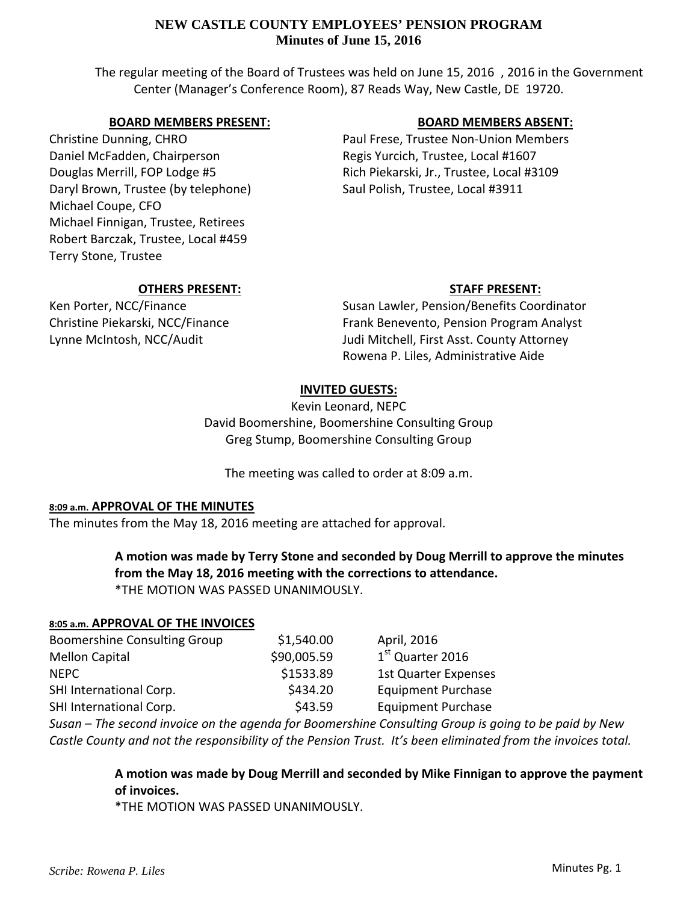# **NEW CASTLE COUNTY EMPLOYEES' PENSION PROGRAM Minutes of June 15, 2016**

The regular meeting of the Board of Trustees was held on June 15, 2016, 2016 in the Government Center (Manager's Conference Room), 87 Reads Way, New Castle, DE 19720.

# **BOARD MEMBERS PRESENT:**

Christine Dunning, CHRO Daniel McFadden, Chairperson Douglas Merrill, FOP Lodge #5 Daryl Brown, Trustee (by telephone) Michael Coupe, CFO Michael Finnigan, Trustee, Retirees Robert Barczak, Trustee, Local #459 Terry Stone, Trustee

# **BOARD MEMBERS ABSENT:**

Paul Frese, Trustee Non‐Union Members Regis Yurcich, Trustee, Local #1607 Rich Piekarski, Jr., Trustee, Local #3109 Saul Polish, Trustee, Local #3911

### **OTHERS PRESENT:**

Ken Porter, NCC/Finance Christine Piekarski, NCC/Finance Lynne McIntosh, NCC/Audit

# **STAFF PRESENT:**

Susan Lawler, Pension/Benefits Coordinator Frank Benevento, Pension Program Analyst Judi Mitchell, First Asst. County Attorney Rowena P. Liles, Administrative Aide

# **INVITED GUESTS:**

Kevin Leonard, NEPC David Boomershine, Boomershine Consulting Group Greg Stump, Boomershine Consulting Group

The meeting was called to order at 8:09 a.m.

# **8:09 a.m. APPROVAL OF THE MINUTES**

The minutes from the May 18, 2016 meeting are attached for approval.

# **A motion was made by Terry Stone and seconded by Doug Merrill to approve the minutes from the May 18, 2016 meeting with the corrections to attendance.** \*THE MOTION WAS PASSED UNANIMOUSLY.

### **8:05 a.m. APPROVAL OF THE INVOICES**

| <b>Boomershine Consulting Group</b> | \$1,540.00  | April, 2016                  |
|-------------------------------------|-------------|------------------------------|
| <b>Mellon Capital</b>               | \$90,005.59 | 1 <sup>st</sup> Quarter 2016 |
| <b>NFPC</b>                         | \$1533.89   | <b>1st Quarter Expenses</b>  |
| SHI International Corp.             | \$434.20    | <b>Equipment Purchase</b>    |
| SHI International Corp.             | \$43.59     | <b>Equipment Purchase</b>    |

Susan – The second invoice on the agenda for Boomershine Consulting Group is going to be paid by New Castle County and not the responsibility of the Pension Trust. It's been eliminated from the invoices total.

> **A motion was made by Doug Merrill and seconded by Mike Finnigan to approve the payment of invoices.**

\*THE MOTION WAS PASSED UNANIMOUSLY.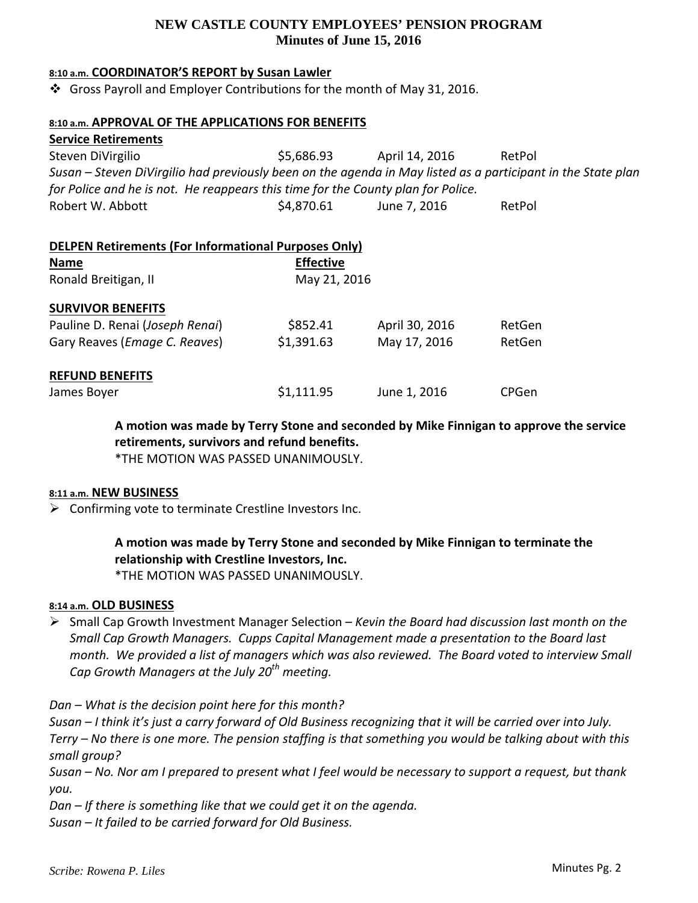# **NEW CASTLE COUNTY EMPLOYEES' PENSION PROGRAM Minutes of June 15, 2016**

#### **8:10 a.m. COORDINATOR'S REPORT by Susan Lawler**

Gross Payroll and Employer Contributions for the month of May 31, 2016.

#### **8:10 a.m. APPROVAL OF THE APPLICATIONS FOR BENEFITS**

**Service Retirements** Steven DiVirgilio  $$5,686.93$  April 14, 2016 RetPol Susan - Steven DiVirgilio had previously been on the agenda in May listed as a participant in the State plan *for Police and he is not. He reappears this time for the County plan for Police.* Robert W. Abbott <br>\$4,870.61 June 7, 2016 RetPol

#### **DELPEN Retirements (For Informational Purposes Only)**

| <b>Name</b>                            | <b>Effective</b> |                |        |
|----------------------------------------|------------------|----------------|--------|
| Ronald Breitigan, II                   | May 21, 2016     |                |        |
| <b>SURVIVOR BENEFITS</b>               |                  |                |        |
| Pauline D. Renai (Joseph Renai)        | \$852.41         | April 30, 2016 | RetGen |
| Gary Reaves ( <i>Emage C. Reaves</i> ) | \$1,391.63       | May 17, 2016   | RetGen |
| <b>REFUND BENEFITS</b>                 |                  |                |        |
| James Boyer                            | \$1,111.95       | June 1, 2016   | CPGen  |

**A motion was made by Terry Stone and seconded by Mike Finnigan to approve the service retirements, survivors and refund benefits.**

\*THE MOTION WAS PASSED UNANIMOUSLY.

#### **8:11 a.m. NEW BUSINESS**

 $\triangleright$  Confirming vote to terminate Crestline Investors Inc.

# **A motion was made by Terry Stone and seconded by Mike Finnigan to terminate the relationship with Crestline Investors, Inc.**

\*THE MOTION WAS PASSED UNANIMOUSLY.

#### **8:14 a.m. OLD BUSINESS**

 Small Cap Growth Investment Manager Selection – *Kevin the Board had discussion last month on the Small Cap Growth Managers. Cupps Capital Management made a presentation to the Board last* month. We provided a list of managers which was also reviewed. The Board voted to interview Small *Cap Growth Managers at the July 20th meeting.*

*Dan – What is the decision point here for this month?*

Susan – I think it's just a carry forward of Old Business recognizing that it will be carried over into July. Terry – No there is one more. The pension staffing is that something you would be talking about with this *small group?*

Susan – No. Nor am I prepared to present what I feel would be necessary to support a request, but thank *you.*

*Dan – If there is something like that we could get it on the agenda.*

*Susan – It failed to be carried forward for Old Business.*